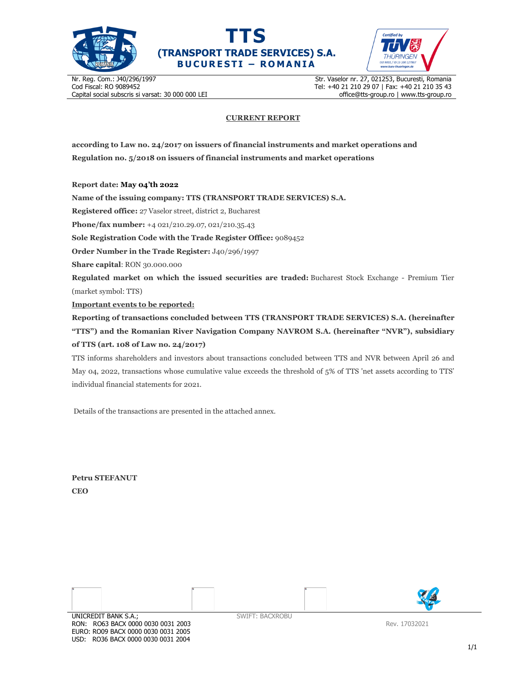





Nr. Reg. Com.: J40/296/1997 Cod Fiscal: RO 9089452 Capital social subscris si varsat: 30 000 000 LEI Str. Vaselor nr. 27, 021253, Bucuresti, Romania Tel: +40 21 210 29 07 | Fax: +40 21 210 35 43 office@tts-group.ro | www.tts-group.ro

## **CURRENT REPORT**

**according to Law no. 24/2017 on issuers of financial instruments and market operations and Regulation no. 5/2018 on issuers of financial instruments and market operations** 

**Report date: May 04'th 2022**

**Name of the issuing company: TTS (TRANSPORT TRADE SERVICES) S.A.**

**Registered office:** 27 Vaselor street, district 2, Bucharest

**Phone/fax number:** +4 021/210.29.07, 021/210.35.43

**Sole Registration Code with the Trade Register Office:** 9089452

**Order Number in the Trade Register:** J40/296/1997

**Share capital**: RON 30.000.000

**Regulated market on which the issued securities are traded:** Bucharest Stock Exchange - Premium Tier (market symbol: TTS)

**Important events to be reported:**

**Reporting of transactions concluded between TTS (TRANSPORT TRADE SERVICES) S.A. (hereinafter "TTS") and the Romanian River Navigation Company NAVROM S.A. (hereinafter "NVR"), subsidiary of TTS (art. 108 of Law no. 24/2017)** 

TTS informs shareholders and investors about transactions concluded between TTS and NVR between April 26 and May 04, 2022, transactions whose cumulative value exceeds the threshold of 5% of TTS 'net assets according to TTS' individual financial statements for 2021.

Details of the transactions are presented in the attached annex.

**Petru STEFANUT CEO** 



RON: RO63 BACX 0000 0030 0031 2003 EURO: RO09 BACX 0000 0030 0031 2005 USD: RO36 BACX 0000 0030 0031 2004

Rev. 17032021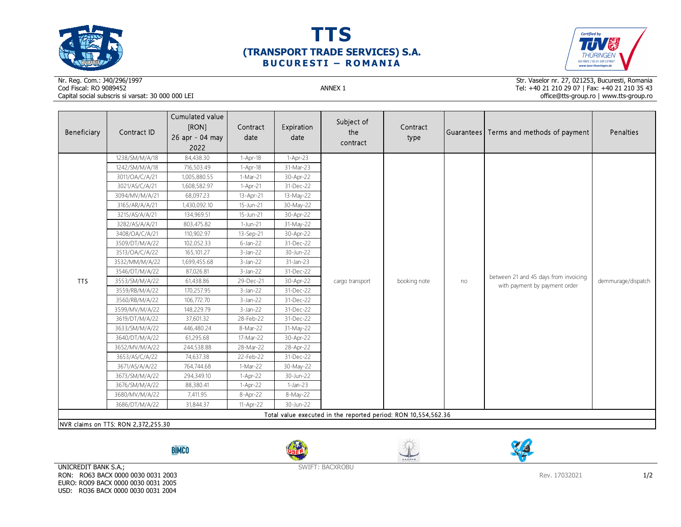





## Nr. Reg. Com.: J40/296/1997Cod Fiscal: RO 9089452 ANNEX 1 Capital social subscris si varsat: 30 000 000 LEI

Str. Vaselor nr. 27, 021253, Bucuresti, Romania Tel: +40 21 210 29 07 | Fax: +40 21 210 35 43 office@tts-group.ro | www.tts-group.ro

| Beneficiary                                                    | Contract ID                         | Cumulated value<br>[RON]<br>26 apr - 04 may<br>2022 | Contract<br>date | Expiration<br>date | Subject of<br>the<br>contract | Contract<br>type |    | Guarantees Terms and methods of payment                                | Penalties          |  |  |
|----------------------------------------------------------------|-------------------------------------|-----------------------------------------------------|------------------|--------------------|-------------------------------|------------------|----|------------------------------------------------------------------------|--------------------|--|--|
|                                                                | 1238/SM/M/A/18                      | 84,438.30                                           | $1-Apr-18$       | 1-Apr-23           | cargo transport               | booking note     | no | between 21 and 45 days from invoicing<br>with payment by payment order | demmurage/dispatch |  |  |
|                                                                | 1242/SM/M/A/18                      | 716,503.49                                          | $1-Apr-18$       | 31-Mar-23          |                               |                  |    |                                                                        |                    |  |  |
|                                                                | 3011/OA/C/A/21                      | 1,005,880.55                                        | 1-Mar-21         | 30-Apr-22          |                               |                  |    |                                                                        |                    |  |  |
|                                                                | 3021/AS/C/A/21                      | 1,608,582.97                                        | $1-Apr-21$       | 31-Dec-22          |                               |                  |    |                                                                        |                    |  |  |
|                                                                | 3094/MV/M/A/21                      | 68,097.23                                           | 13-Apr-21        | 13-May-22          |                               |                  |    |                                                                        |                    |  |  |
|                                                                | 3165/AR/A/A/21                      | 1,430,092.10                                        | 15-Jun-21        | 30-May-22          |                               |                  |    |                                                                        |                    |  |  |
|                                                                | 3215/AS/A/A/21                      | 134,969.51                                          | 15-Jun-21        | 30-Apr-22          |                               |                  |    |                                                                        |                    |  |  |
|                                                                | 3282/AS/A/A/21                      | 803,475.82                                          | 1-Jun-21         | 31-May-22          |                               |                  |    |                                                                        |                    |  |  |
|                                                                | 3408/OA/C/A/21                      | 110,902.97                                          | 13-Sep-21        | 30-Apr-22          |                               |                  |    |                                                                        |                    |  |  |
|                                                                | 3509/DT/M/A/22                      | 102,052.33                                          | $6$ -Jan-22      | 31-Dec-22          |                               |                  |    |                                                                        |                    |  |  |
|                                                                | 3513/OA/C/A/22                      | 165,101.27                                          | $3$ -Jan-22      | 30-Jun-22          |                               |                  |    |                                                                        |                    |  |  |
|                                                                | 3532/MM/M/A/22                      | 1,699,455.68                                        | $3$ -Jan-22      | $31$ -Jan-23       |                               |                  |    |                                                                        |                    |  |  |
|                                                                | 3546/DT/M/A/22                      | 87,026.81                                           | 3-Jan-22         | 31-Dec-22          |                               |                  |    |                                                                        |                    |  |  |
| <b>TTS</b>                                                     | 3553/SM/M/A/22                      | 61,438.86                                           | 29-Dec-21        | 30-Apr-22          |                               |                  |    |                                                                        |                    |  |  |
|                                                                | 3559/RB/M/A/22                      | 170,257.95                                          | $3$ -Jan-22      | 31-Dec-22          |                               |                  |    |                                                                        |                    |  |  |
|                                                                | 3560/RB/M/A/22                      | 106,772.70                                          | 3-Jan-22         | 31-Dec-22          |                               |                  |    |                                                                        |                    |  |  |
|                                                                | 3599/MV/M/A/22                      | 148,229.79                                          | $3$ -Jan-22      | 31-Dec-22          |                               |                  |    |                                                                        |                    |  |  |
|                                                                | 3619/DT/M/A/22                      | 37,601.32                                           | 28-Feb-22        | 31-Dec-22          |                               |                  |    |                                                                        |                    |  |  |
|                                                                | 3633/SM/M/A/22                      | 446,480.24                                          | 8-Mar-22         | 31-May-22          |                               |                  |    |                                                                        |                    |  |  |
|                                                                | 3640/DT/M/A/22                      | 61,295.68                                           | 17-Mar-22        | 30-Apr-22          |                               |                  |    |                                                                        |                    |  |  |
|                                                                | 3652/MV/M/A/22                      | 244,538.88                                          | 28-Mar-22        | 28-Apr-22          |                               |                  |    |                                                                        |                    |  |  |
|                                                                | 3653/AS/C/A/22                      | 74,637.38                                           | 22-Feb-22        | 31-Dec-22          |                               |                  |    |                                                                        |                    |  |  |
|                                                                | 3671/AS/A/A/22                      | 764,744.68                                          | 1-Mar-22         | 30-May-22          |                               |                  |    |                                                                        |                    |  |  |
|                                                                | 3673/SM/M/A/22                      | 294,349.10                                          | 1-Apr-22         | 30-Jun-22          |                               |                  |    |                                                                        |                    |  |  |
|                                                                | 3676/SM/M/A/22                      | 88,380.41                                           | 1-Apr-22         | $1-Jan-23$         |                               |                  |    |                                                                        |                    |  |  |
|                                                                | 3680/MV/M/A/22                      | 7,411.95                                            | 8-Apr-22         | 8-May-22           |                               |                  |    |                                                                        |                    |  |  |
|                                                                | 3686/DT/M/A/22                      | 31,844.37                                           | 11-Apr-22        | 30-Jun-22          |                               |                  |    |                                                                        |                    |  |  |
| Total value executed in the reported period: RON 10,554,562.36 |                                     |                                                     |                  |                    |                               |                  |    |                                                                        |                    |  |  |
|                                                                | NVR claims on TTS: RON 2,372,255.30 |                                                     |                  |                    |                               |                  |    |                                                                        |                    |  |  |

**BİMCO** 







UNICREDIT BANK S.A.; RON: RO63 BACX 0000 0030 0031 2003 EURO: RO09 BACX 0000 0030 0031 2005 USD: RO36 BACX 0000 0030 0031 2004

SWIFT: BACXROBU